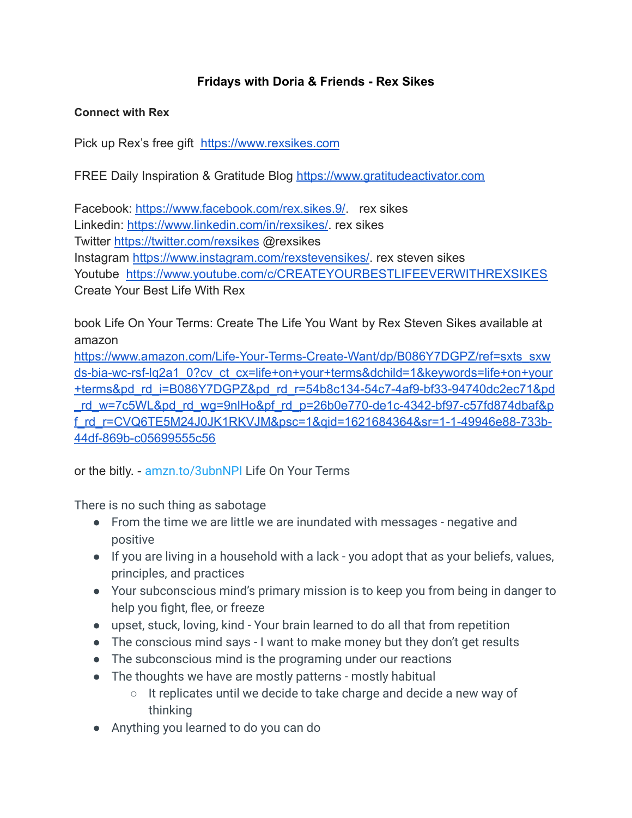## **Fridays with Doria & Friends - Rex Sikes**

## **Connect with Rex**

Pick up Rex's free gift [https://www.rexsikes.com](https://www.rexsikes.com/)

FREE Daily Inspiration & Gratitude Blog [https://www.gratitudeactivator.com](https://www.gratitudeactivator.com/)

Facebook: [https://www.facebook.com/rex.sikes.9/.](https://www.facebook.com/rex.sikes.9/) rex sikes Linkedin: <https://www.linkedin.com/in/rexsikes/>. rex sikes Twitter <https://twitter.com/rexsikes> @rexsikes Instagram <https://www.instagram.com/rexstevensikes/>. rex steven sikes Youtube <https://www.youtube.com/c/CREATEYOURBESTLIFEEVERWITHREXSIKES> Create Your Best Life With Rex

book Life On Your Terms: Create The Life You Want by Rex Steven Sikes available at amazon

[https://www.amazon.com/Life-Your-Terms-Create-Want/dp/B086Y7DGPZ/ref=sxts\\_sxw](https://www.amazon.com/Life-Your-Terms-Create-Want/dp/B086Y7DGPZ/ref=sxts_sxwds-bia-wc-rsf-lq2a1_0?cv_ct_cx=life+on+your+terms&dchild=1&keywords=life+on+your+terms&pd_rd_i=B086Y7DGPZ&pd_rd_r=54b8c134-54c7-4af9-bf33-94740dc2ec71&pd_rd_w=7c5WL&pd_rd_wg=9nlHo&pf_rd_p=26b0e770-de1c-4342-bf97-c57fd874dbaf&pf_rd_r=CVQ6TE5M24J0JK1RKVJM&psc=1&qid=1621684364&sr=1-1-49946e88-733b-44df-869b-c05699555c56) [ds-bia-wc-rsf-lq2a1\\_0?cv\\_ct\\_cx=life+on+your+terms&dchild=1&keywords=life+on+your](https://www.amazon.com/Life-Your-Terms-Create-Want/dp/B086Y7DGPZ/ref=sxts_sxwds-bia-wc-rsf-lq2a1_0?cv_ct_cx=life+on+your+terms&dchild=1&keywords=life+on+your+terms&pd_rd_i=B086Y7DGPZ&pd_rd_r=54b8c134-54c7-4af9-bf33-94740dc2ec71&pd_rd_w=7c5WL&pd_rd_wg=9nlHo&pf_rd_p=26b0e770-de1c-4342-bf97-c57fd874dbaf&pf_rd_r=CVQ6TE5M24J0JK1RKVJM&psc=1&qid=1621684364&sr=1-1-49946e88-733b-44df-869b-c05699555c56) [+terms&pd\\_rd\\_i=B086Y7DGPZ&pd\\_rd\\_r=54b8c134-54c7-4af9-bf33-94740dc2ec71&pd](https://www.amazon.com/Life-Your-Terms-Create-Want/dp/B086Y7DGPZ/ref=sxts_sxwds-bia-wc-rsf-lq2a1_0?cv_ct_cx=life+on+your+terms&dchild=1&keywords=life+on+your+terms&pd_rd_i=B086Y7DGPZ&pd_rd_r=54b8c134-54c7-4af9-bf33-94740dc2ec71&pd_rd_w=7c5WL&pd_rd_wg=9nlHo&pf_rd_p=26b0e770-de1c-4342-bf97-c57fd874dbaf&pf_rd_r=CVQ6TE5M24J0JK1RKVJM&psc=1&qid=1621684364&sr=1-1-49946e88-733b-44df-869b-c05699555c56) [\\_rd\\_w=7c5WL&pd\\_rd\\_wg=9nlHo&pf\\_rd\\_p=26b0e770-de1c-4342-bf97-c57fd874dbaf&p](https://www.amazon.com/Life-Your-Terms-Create-Want/dp/B086Y7DGPZ/ref=sxts_sxwds-bia-wc-rsf-lq2a1_0?cv_ct_cx=life+on+your+terms&dchild=1&keywords=life+on+your+terms&pd_rd_i=B086Y7DGPZ&pd_rd_r=54b8c134-54c7-4af9-bf33-94740dc2ec71&pd_rd_w=7c5WL&pd_rd_wg=9nlHo&pf_rd_p=26b0e770-de1c-4342-bf97-c57fd874dbaf&pf_rd_r=CVQ6TE5M24J0JK1RKVJM&psc=1&qid=1621684364&sr=1-1-49946e88-733b-44df-869b-c05699555c56) [f\\_rd\\_r=CVQ6TE5M24J0JK1RKVJM&psc=1&qid=1621684364&sr=1-1-49946e88-733b-](https://www.amazon.com/Life-Your-Terms-Create-Want/dp/B086Y7DGPZ/ref=sxts_sxwds-bia-wc-rsf-lq2a1_0?cv_ct_cx=life+on+your+terms&dchild=1&keywords=life+on+your+terms&pd_rd_i=B086Y7DGPZ&pd_rd_r=54b8c134-54c7-4af9-bf33-94740dc2ec71&pd_rd_w=7c5WL&pd_rd_wg=9nlHo&pf_rd_p=26b0e770-de1c-4342-bf97-c57fd874dbaf&pf_rd_r=CVQ6TE5M24J0JK1RKVJM&psc=1&qid=1621684364&sr=1-1-49946e88-733b-44df-869b-c05699555c56)[44df-869b-c05699555c56](https://www.amazon.com/Life-Your-Terms-Create-Want/dp/B086Y7DGPZ/ref=sxts_sxwds-bia-wc-rsf-lq2a1_0?cv_ct_cx=life+on+your+terms&dchild=1&keywords=life+on+your+terms&pd_rd_i=B086Y7DGPZ&pd_rd_r=54b8c134-54c7-4af9-bf33-94740dc2ec71&pd_rd_w=7c5WL&pd_rd_wg=9nlHo&pf_rd_p=26b0e770-de1c-4342-bf97-c57fd874dbaf&pf_rd_r=CVQ6TE5M24J0JK1RKVJM&psc=1&qid=1621684364&sr=1-1-49946e88-733b-44df-869b-c05699555c56)

or the bitly. - [amzn.to/3ubnNPI](https://t.co/NG3ndSNPfz) Life On Your Terms

There is no such thing as sabotage

- From the time we are little we are inundated with messages negative and positive
- If you are living in a household with a lack you adopt that as your beliefs, values, principles, and practices
- Your subconscious mind's primary mission is to keep you from being in danger to help you fight, flee, or freeze
- upset, stuck, loving, kind Your brain learned to do all that from repetition
- The conscious mind says I want to make money but they don't get results
- The subconscious mind is the programing under our reactions
- The thoughts we have are mostly patterns mostly habitual
	- It replicates until we decide to take charge and decide a new way of thinking
- Anything you learned to do you can do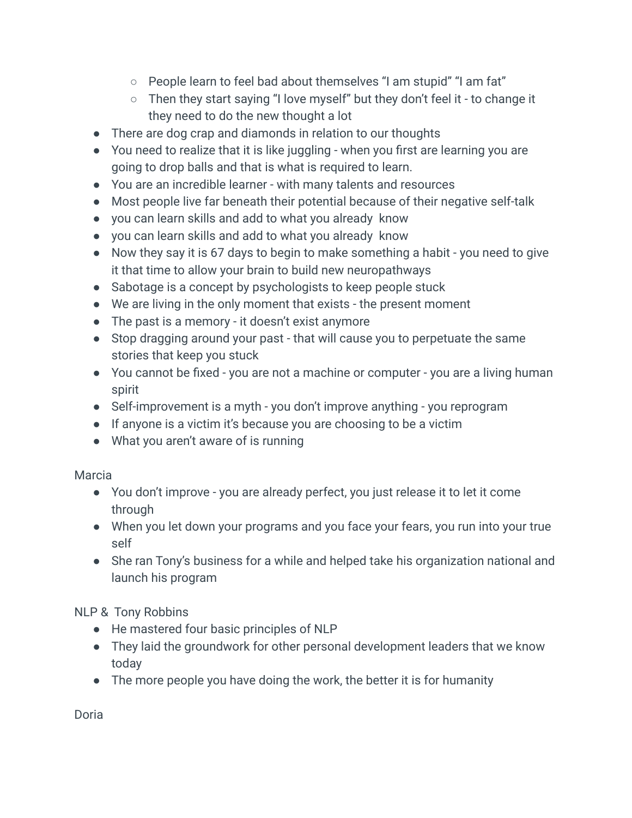- People learn to feel bad about themselves "I am stupid" "I am fat"
- Then they start saying "I love myself" but they don't feel it to change it they need to do the new thought a lot
- There are dog crap and diamonds in relation to our thoughts
- You need to realize that it is like juggling when you first are learning you are going to drop balls and that is what is required to learn.
- You are an incredible learner with many talents and resources
- Most people live far beneath their potential because of their negative self-talk
- you can learn skills and add to what you already know
- you can learn skills and add to what you already know
- Now they say it is 67 days to begin to make something a habit you need to give it that time to allow your brain to build new neuropathways
- Sabotage is a concept by psychologists to keep people stuck
- We are living in the only moment that exists the present moment
- The past is a memory it doesn't exist anymore
- Stop dragging around your past that will cause you to perpetuate the same stories that keep you stuck
- You cannot be fixed you are not a machine or computer you are a living human spirit
- Self-improvement is a myth you don't improve anything you reprogram
- If anyone is a victim it's because you are choosing to be a victim
- What you aren't aware of is running

Marcia

- You don't improve you are already perfect, you just release it to let it come through
- When you let down your programs and you face your fears, you run into your true self
- She ran Tony's business for a while and helped take his organization national and launch his program

NLP & Tony Robbins

- He mastered four basic principles of NLP
- They laid the groundwork for other personal development leaders that we know today
- The more people you have doing the work, the better it is for humanity

Doria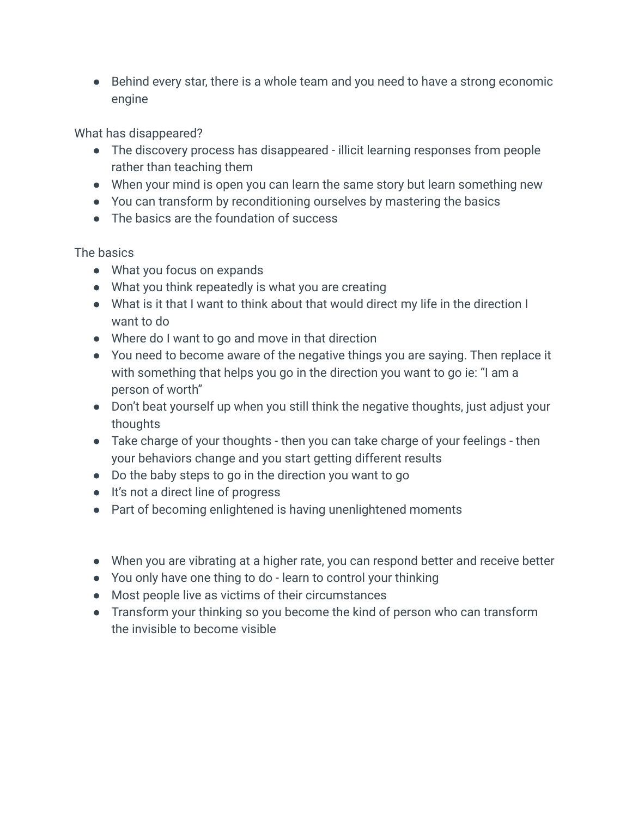● Behind every star, there is a whole team and you need to have a strong economic engine

What has disappeared?

- The discovery process has disappeared illicit learning responses from people rather than teaching them
- When your mind is open you can learn the same story but learn something new
- You can transform by reconditioning ourselves by mastering the basics
- The basics are the foundation of success

The basics

- What you focus on expands
- What you think repeatedly is what you are creating
- What is it that I want to think about that would direct my life in the direction I want to do
- Where do I want to go and move in that direction
- You need to become aware of the negative things you are saying. Then replace it with something that helps you go in the direction you want to go ie: "I am a person of worth"
- Don't beat yourself up when you still think the negative thoughts, just adjust your thoughts
- Take charge of your thoughts then you can take charge of your feelings then your behaviors change and you start getting different results
- Do the baby steps to go in the direction you want to go
- It's not a direct line of progress
- Part of becoming enlightened is having unenlightened moments
- When you are vibrating at a higher rate, you can respond better and receive better
- You only have one thing to do learn to control your thinking
- Most people live as victims of their circumstances
- Transform your thinking so you become the kind of person who can transform the invisible to become visible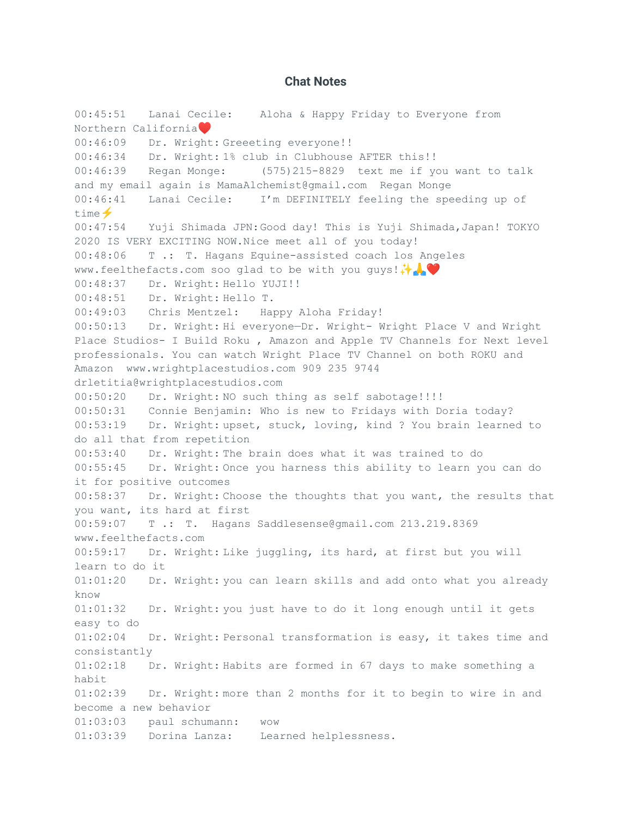## **Chat Notes**

00:45:51 Lanai Cecile: Aloha & Happy Friday to Everyone from Northern California 00:46:09 Dr. Wright: Greeeting everyone!! 00:46:34 Dr. Wright: 1% club in Clubhouse AFTER this!! 00:46:39 Regan Monge: (575)215-8829 text me if you want to talk and my email again is MamaAlchemist@gmail.com Regan Monge 00:46:41 Lanai Cecile: I'm DEFINITELY feeling the speeding up of time  $\blacklozenge$ 00:47:54 Yuji Shimada JPN:Good day! This is Yuji Shimada,Japan! TOKYO 2020 IS VERY EXCITING NOW.Nice meet all of you today! 00:48:06 T .: T. Hagans Equine-assisted coach los Angeles www.feelthefacts.com soo glad to be with you guys! → 00:48:37 Dr. Wright: Hello YUJI!! 00:48:51 Dr. Wright: Hello T. 00:49:03 Chris Mentzel: Happy Aloha Friday! 00:50:13 Dr. Wright: Hi everyone—Dr. Wright- Wright Place V and Wright Place Studios- I Build Roku , Amazon and Apple TV Channels for Next level professionals. You can watch Wright Place TV Channel on both ROKU and Amazon www.wrightplacestudios.com 909 235 9744 drletitia@wrightplacestudios.com 00:50:20 Dr. Wright: NO such thing as self sabotage!!!! 00:50:31 Connie Benjamin: Who is new to Fridays with Doria today? 00:53:19 Dr. Wright: upset, stuck, loving, kind ? You brain learned to do all that from repetition 00:53:40 Dr. Wright: The brain does what it was trained to do 00:55:45 Dr. Wright: Once you harness this ability to learn you can do it for positive outcomes 00:58:37 Dr. Wright: Choose the thoughts that you want, the results that you want, its hard at first 00:59:07 T .: T. Hagans Saddlesense@gmail.com 213.219.8369 www.feelthefacts.com 00:59:17 Dr. Wright: Like juggling, its hard, at first but you will learn to do it 01:01:20 Dr. Wright: you can learn skills and add onto what you already know 01:01:32 Dr. Wright: you just have to do it long enough until it gets easy to do 01:02:04 Dr. Wright: Personal transformation is easy, it takes time and consistantly 01:02:18 Dr. Wright: Habits are formed in 67 days to make something a habit 01:02:39 Dr. Wright: more than 2 months for it to begin to wire in and become a new behavior 01:03:03 paul schumann: wow 01:03:39 Dorina Lanza: Learned helplessness.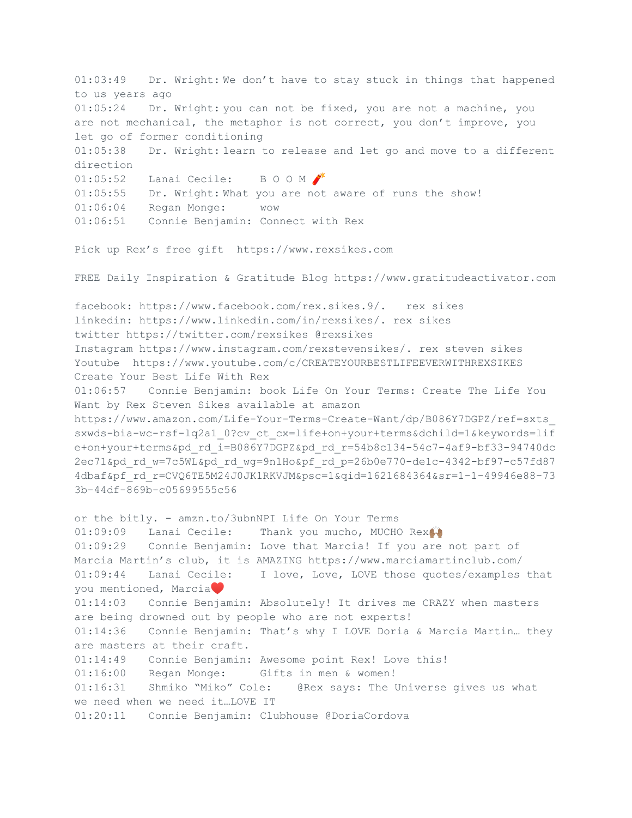01:03:49 Dr. Wright: We don't have to stay stuck in things that happened to us years ago 01:05:24 Dr. Wright: you can not be fixed, you are not a machine, you are not mechanical, the metaphor is not correct, you don't improve, you let go of former conditioning 01:05:38 Dr. Wright: learn to release and let go and move to a different direction 01:05:52 Lanai Cecile: B O O M 01:05:55 Dr. Wright: What you are not aware of runs the show! 01:06:04 Regan Monge: wow 01:06:51 Connie Benjamin: Connect with Rex Pick up Rex's free gift https://www.rexsikes.com FREE Daily Inspiration & Gratitude Blog https://www.gratitudeactivator.com facebook: https://www.facebook.com/rex.sikes.9/. rex sikes linkedin: https://www.linkedin.com/in/rexsikes/. rex sikes twitter https://twitter.com/rexsikes @rexsikes Instagram https://www.instagram.com/rexstevensikes/. rex steven sikes Youtube https://www.youtube.com/c/CREATEYOURBESTLIFEEVERWITHREXSIKES Create Your Best Life With Rex 01:06:57 Connie Benjamin: book Life On Your Terms: Create The Life You Want by Rex Steven Sikes available at amazon https://www.amazon.com/Life-Your-Terms-Create-Want/dp/B086Y7DGPZ/ref=sxts\_ sxwds-bia-wc-rsf-lq2a1\_0?cv\_ct\_cx=life+on+your+terms&dchild=1&keywords=lif e+on+your+terms&pd\_rd\_i=B086Y7DGPZ&pd\_rd\_r=54b8c134-54c7-4af9-bf33-94740dc 2ec71&pd\_rd\_w=7c5WL&pd\_rd\_wg=9nlHo&pf\_rd\_p=26b0e770-de1c-4342-bf97-c57fd87 4dbaf&pf\_rd\_r=CVQ6TE5M24J0JK1RKVJM&psc=1&qid=1621684364&sr=1-1-49946e88-73 3b-44df-869b-c05699555c56 or the bitly. - amzn.to/3ubnNPI Life On Your Terms 01:09:09 Lanai Cecile: Thank you mucho, MUCHO Rex 01:09:29 Connie Benjamin: Love that Marcia! If you are not part of Marcia Martin's club, it is AMAZING https://www.marciamartinclub.com/ 01:09:44 Lanai Cecile: I love, Love, LOVE those quotes/examples that you mentioned, Marcia 01:14:03 Connie Benjamin: Absolutely! It drives me CRAZY when masters are being drowned out by people who are not experts! 01:14:36 Connie Benjamin: That's why I LOVE Doria & Marcia Martin… they are masters at their craft. 01:14:49 Connie Benjamin: Awesome point Rex! Love this! 01:16:00 Regan Monge: Gifts in men & women! 01:16:31 Shmiko "Miko" Cole: @Rex says: The Universe gives us what we need when we need it…LOVE IT 01:20:11 Connie Benjamin: Clubhouse @DoriaCordova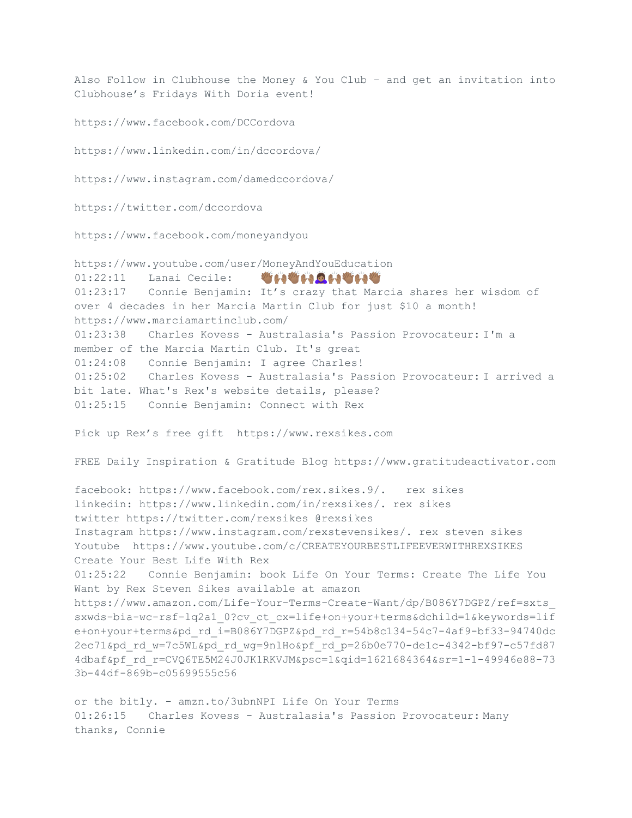Also Follow in Clubhouse the Money & You Club – and get an invitation into Clubhouse's Fridays With Doria event!

https://www.facebook.com/DCCordova

https://www.linkedin.com/in/dccordova/

https://www.instagram.com/damedccordova/

https://twitter.com/dccordova

https://www.facebook.com/moneyandyou

https://www.youtube.com/user/MoneyAndYouEducation 01:22:11 Lanai Cecile: 01:23:17 Connie Benjamin: It's crazy that Marcia shares her wisdom of over 4 decades in her Marcia Martin Club for just \$10 a month! https://www.marciamartinclub.com/ 01:23:38 Charles Kovess - Australasia's Passion Provocateur: I'm a member of the Marcia Martin Club. It's great 01:24:08 Connie Benjamin: I agree Charles! 01:25:02 Charles Kovess - Australasia's Passion Provocateur: I arrived a bit late. What's Rex's website details, please? 01:25:15 Connie Benjamin: Connect with Rex Pick up Rex's free gift https://www.rexsikes.com FREE Daily Inspiration & Gratitude Blog https://www.gratitudeactivator.com facebook: https://www.facebook.com/rex.sikes.9/. rex sikes linkedin: https://www.linkedin.com/in/rexsikes/. rex sikes twitter https://twitter.com/rexsikes @rexsikes Instagram https://www.instagram.com/rexstevensikes/. rex steven sikes Youtube https://www.youtube.com/c/CREATEYOURBESTLIFEEVERWITHREXSIKES Create Your Best Life With Rex 01:25:22 Connie Benjamin: book Life On Your Terms: Create The Life You Want by Rex Steven Sikes available at amazon https://www.amazon.com/Life-Your-Terms-Create-Want/dp/B086Y7DGPZ/ref=sxts\_ sxwds-bia-wc-rsf-lq2a1\_0?cv\_ct\_cx=life+on+your+terms&dchild=1&keywords=lif e+on+your+terms&pd\_rd\_i=B086Y7DGPZ&pd\_rd\_r=54b8c134-54c7-4af9-bf33-94740dc 2ec71&pd\_rd\_w=7c5WL&pd\_rd\_wg=9nlHo&pf\_rd\_p=26b0e770-de1c-4342-bf97-c57fd87 4dbaf&pf\_rd\_r=CVQ6TE5M24J0JK1RKVJM&psc=1&qid=1621684364&sr=1-1-49946e88-73 3b-44df-869b-c05699555c56

or the bitly. - amzn.to/3ubnNPI Life On Your Terms 01:26:15 Charles Kovess - Australasia's Passion Provocateur: Many thanks, Connie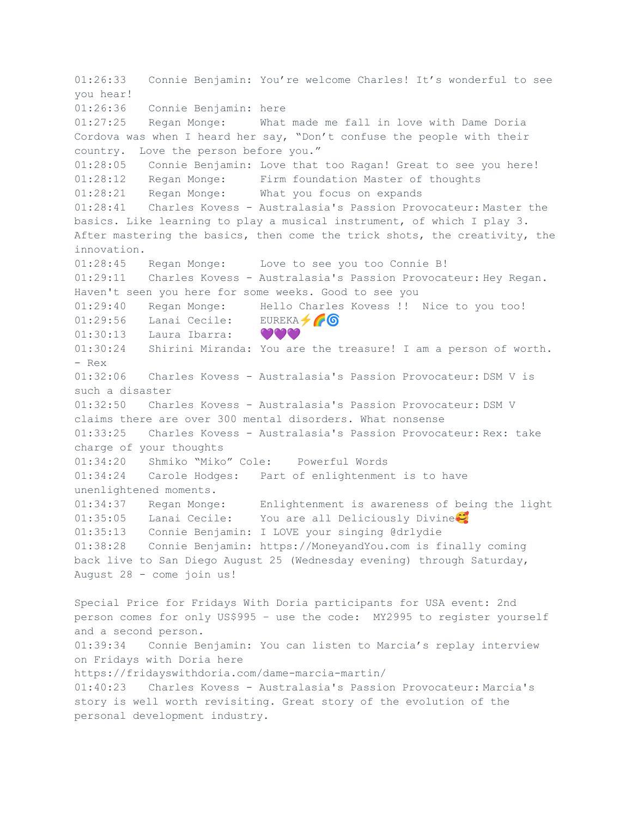01:26:33 Connie Benjamin: You're welcome Charles! It's wonderful to see you hear! 01:26:36 Connie Benjamin: here 01:27:25 Regan Monge: What made me fall in love with Dame Doria Cordova was when I heard her say, "Don't confuse the people with their country. Love the person before you." 01:28:05 Connie Benjamin: Love that too Ragan! Great to see you here! 01:28:12 Regan Monge: Firm foundation Master of thoughts 01:28:21 Regan Monge: What you focus on expands 01:28:41 Charles Kovess - Australasia's Passion Provocateur: Master the basics. Like learning to play a musical instrument, of which I play 3. After mastering the basics, then come the trick shots, the creativity, the innovation. 01:28:45 Regan Monge: Love to see you too Connie B! 01:29:11 Charles Kovess - Australasia's Passion Provocateur: Hey Regan. Haven't seen you here for some weeks. Good to see you 01:29:40 Regan Monge: Hello Charles Kovess !! Nice to you too!  $01:29:56$  Lanai Cecile: EUREKA  $\bigcirc$ 01:30:13 Laura Ibarra: 0000 01:30:24 Shirini Miranda: You are the treasure! I am a person of worth. - Rex 01:32:06 Charles Kovess - Australasia's Passion Provocateur: DSM V is such a disaster 01:32:50 Charles Kovess - Australasia's Passion Provocateur: DSM V claims there are over 300 mental disorders. What nonsense 01:33:25 Charles Kovess - Australasia's Passion Provocateur: Rex: take charge of your thoughts 01:34:20 Shmiko "Miko" Cole: Powerful Words 01:34:24 Carole Hodges: Part of enlightenment is to have unenlightened moments. 01:34:37 Regan Monge: Enlightenment is awareness of being the light 01:35:05 Lanai Cecile: You are all Deliciously Divine 01:35:13 Connie Benjamin: I LOVE your singing @drlydie 01:38:28 Connie Benjamin: https://MoneyandYou.com is finally coming back live to San Diego August 25 (Wednesday evening) through Saturday, August 28 - come join us! Special Price for Fridays With Doria participants for USA event: 2nd person comes for only US\$995 – use the code: MY2995 to register yourself and a second person. 01:39:34 Connie Benjamin: You can listen to Marcia's replay interview on Fridays with Doria here https://fridayswithdoria.com/dame-marcia-martin/ 01:40:23 Charles Kovess - Australasia's Passion Provocateur: Marcia's story is well worth revisiting. Great story of the evolution of the personal development industry.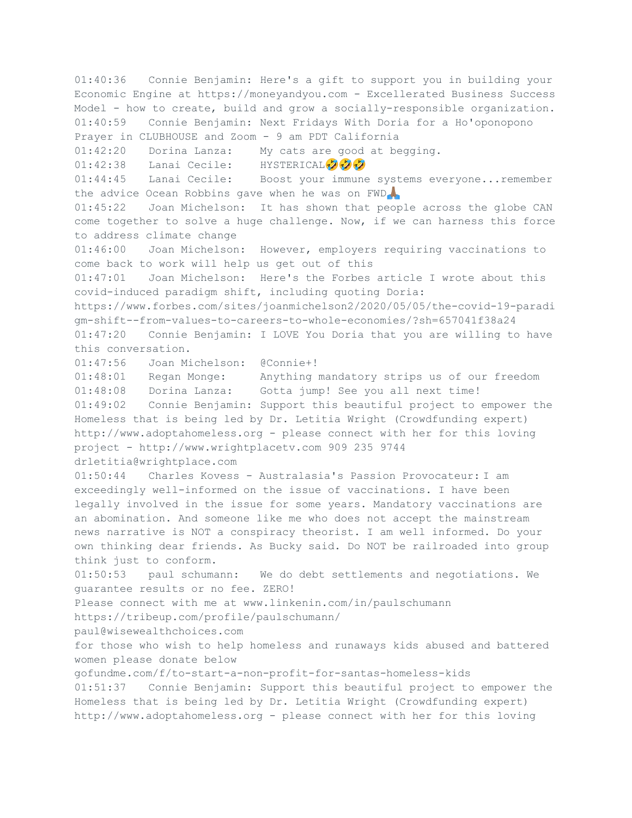01:40:36 Connie Benjamin: Here's a gift to support you in building your Economic Engine at https://moneyandyou.com - Excellerated Business Success Model - how to create, build and grow a socially-responsible organization. 01:40:59 Connie Benjamin: Next Fridays With Doria for a Ho'oponopono Prayer in CLUBHOUSE and Zoom - 9 am PDT California 01:42:20 Dorina Lanza: My cats are good at begging. 01:42:38 Lanai Cecile: HYSTERICAL 202 01:44:45 Lanai Cecile: Boost your immune systems everyone...remember the advice Ocean Robbins gave when he was on FWD. 01:45:22 Joan Michelson: It has shown that people across the globe CAN come together to solve a huge challenge. Now, if we can harness this force to address climate change 01:46:00 Joan Michelson: However, employers requiring vaccinations to come back to work will help us get out of this 01:47:01 Joan Michelson: Here's the Forbes article I wrote about this covid-induced paradigm shift, including quoting Doria: https://www.forbes.com/sites/joanmichelson2/2020/05/05/the-covid-19-paradi gm-shift--from-values-to-careers-to-whole-economies/?sh=657041f38a24 01:47:20 Connie Benjamin: I LOVE You Doria that you are willing to have this conversation. 01:47:56 Joan Michelson: @Connie+! 01:48:01 Regan Monge: Anything mandatory strips us of our freedom 01:48:08 Dorina Lanza: Gotta jump! See you all next time! 01:49:02 Connie Benjamin: Support this beautiful project to empower the Homeless that is being led by Dr. Letitia Wright (Crowdfunding expert) http://www.adoptahomeless.org - please connect with her for this loving project - http://www.wrightplacetv.com 909 235 9744 drletitia@wrightplace.com 01:50:44 Charles Kovess - Australasia's Passion Provocateur: I am exceedingly well-informed on the issue of vaccinations. I have been legally involved in the issue for some years. Mandatory vaccinations are an abomination. And someone like me who does not accept the mainstream news narrative is NOT a conspiracy theorist. I am well informed. Do your own thinking dear friends. As Bucky said. Do NOT be railroaded into group think just to conform. 01:50:53 paul schumann: We do debt settlements and negotiations. We guarantee results or no fee. ZERO! Please connect with me at www.linkenin.com/in/paulschumann https://tribeup.com/profile/paulschumann/ paul@wisewealthchoices.com for those who wish to help homeless and runaways kids abused and battered women please donate below gofundme.com/f/to-start-a-non-profit-for-santas-homeless-kids 01:51:37 Connie Benjamin: Support this beautiful project to empower the Homeless that is being led by Dr. Letitia Wright (Crowdfunding expert) http://www.adoptahomeless.org - please connect with her for this loving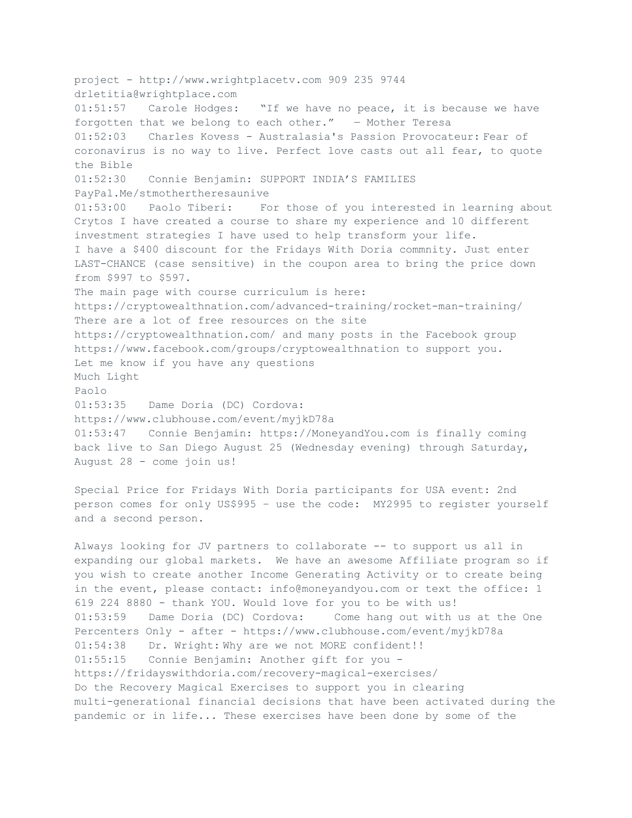project - http://www.wrightplacetv.com 909 235 9744 drletitia@wrightplace.com 01:51:57 Carole Hodges: "If we have no peace, it is because we have forgotten that we belong to each other." ― Mother Teresa 01:52:03 Charles Kovess - Australasia's Passion Provocateur: Fear of coronavirus is no way to live. Perfect love casts out all fear, to quote the Bible 01:52:30 Connie Benjamin: SUPPORT INDIA'S FAMILIES PayPal.Me/stmothertheresaunive 01:53:00 Paolo Tiberi: For those of you interested in learning about Crytos I have created a course to share my experience and 10 different investment strategies I have used to help transform your life. I have a \$400 discount for the Fridays With Doria commnity. Just enter LAST-CHANCE (case sensitive) in the coupon area to bring the price down from \$997 to \$597. The main page with course curriculum is here: https://cryptowealthnation.com/advanced-training/rocket-man-training/ There are a lot of free resources on the site https://cryptowealthnation.com/ and many posts in the Facebook group https://www.facebook.com/groups/cryptowealthnation to support you. Let me know if you have any questions Much Light Paolo 01:53:35 Dame Doria (DC) Cordova: https://www.clubhouse.com/event/myjkD78a 01:53:47 Connie Benjamin: https://MoneyandYou.com is finally coming back live to San Diego August 25 (Wednesday evening) through Saturday, August 28 - come join us!

Special Price for Fridays With Doria participants for USA event: 2nd person comes for only US\$995 – use the code: MY2995 to register yourself and a second person.

Always looking for JV partners to collaborate -- to support us all in expanding our global markets. We have an awesome Affiliate program so if you wish to create another Income Generating Activity or to create being in the event, please contact: info@moneyandyou.com or text the office: 1 619 224 8880 - thank YOU. Would love for you to be with us! 01:53:59 Dame Doria (DC) Cordova: Come hang out with us at the One Percenters Only - after - https://www.clubhouse.com/event/myjkD78a 01:54:38 Dr. Wright: Why are we not MORE confident!! 01:55:15 Connie Benjamin: Another gift for you https://fridayswithdoria.com/recovery-magical-exercises/ Do the Recovery Magical Exercises to support you in clearing multi-generational financial decisions that have been activated during the pandemic or in life... These exercises have been done by some of the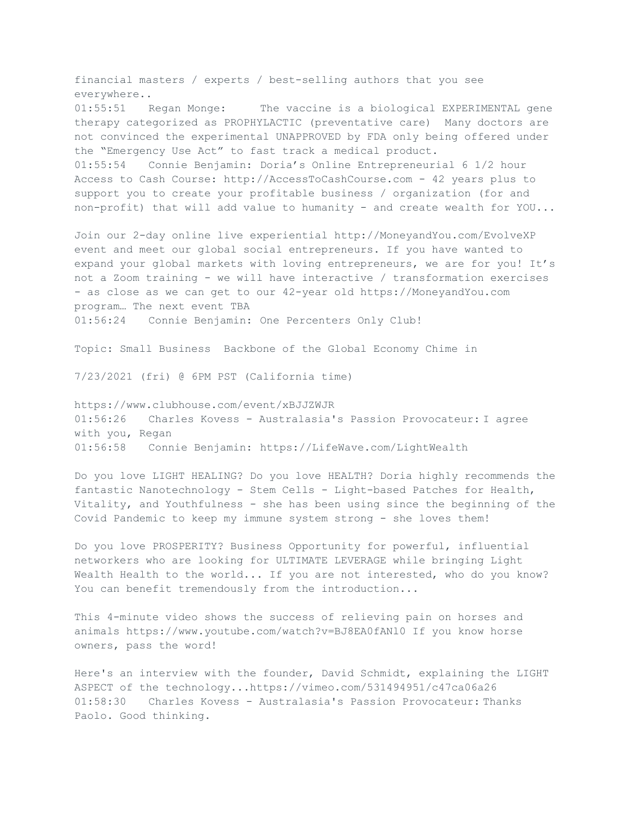financial masters / experts / best-selling authors that you see everywhere.. 01:55:51 Regan Monge: The vaccine is a biological EXPERIMENTAL gene therapy categorized as PROPHYLACTIC (preventative care) Many doctors are not convinced the experimental UNAPPROVED by FDA only being offered under the "Emergency Use Act" to fast track a medical product. 01:55:54 Connie Benjamin: Doria's Online Entrepreneurial 6 1/2 hour Access to Cash Course: http://AccessToCashCourse.com - 42 years plus to support you to create your profitable business / organization (for and non-profit) that will add value to humanity - and create wealth for YOU...

Join our 2-day online live experiential http://MoneyandYou.com/EvolveXP event and meet our global social entrepreneurs. If you have wanted to expand your global markets with loving entrepreneurs, we are for you! It's not a Zoom training - we will have interactive / transformation exercises - as close as we can get to our 42-year old https://MoneyandYou.com program… The next event TBA 01:56:24 Connie Benjamin: One Percenters Only Club!

Topic: Small Business Backbone of the Global Economy Chime in

7/23/2021 (fri) @ 6PM PST (California time)

https://www.clubhouse.com/event/xBJJZWJR 01:56:26 Charles Kovess - Australasia's Passion Provocateur: I agree with you, Regan 01:56:58 Connie Benjamin: https://LifeWave.com/LightWealth

Do you love LIGHT HEALING? Do you love HEALTH? Doria highly recommends the fantastic Nanotechnology - Stem Cells - Light-based Patches for Health, Vitality, and Youthfulness - she has been using since the beginning of the Covid Pandemic to keep my immune system strong - she loves them!

Do you love PROSPERITY? Business Opportunity for powerful, influential networkers who are looking for ULTIMATE LEVERAGE while bringing Light Wealth Health to the world... If you are not interested, who do you know? You can benefit tremendously from the introduction...

This 4-minute video shows the success of relieving pain on horses and animals https://www.youtube.com/watch?v=BJ8EA0fANl0 If you know horse owners, pass the word!

Here's an interview with the founder, David Schmidt, explaining the LIGHT ASPECT of the technology...https://vimeo.com/531494951/c47ca06a26 01:58:30 Charles Kovess - Australasia's Passion Provocateur: Thanks Paolo. Good thinking.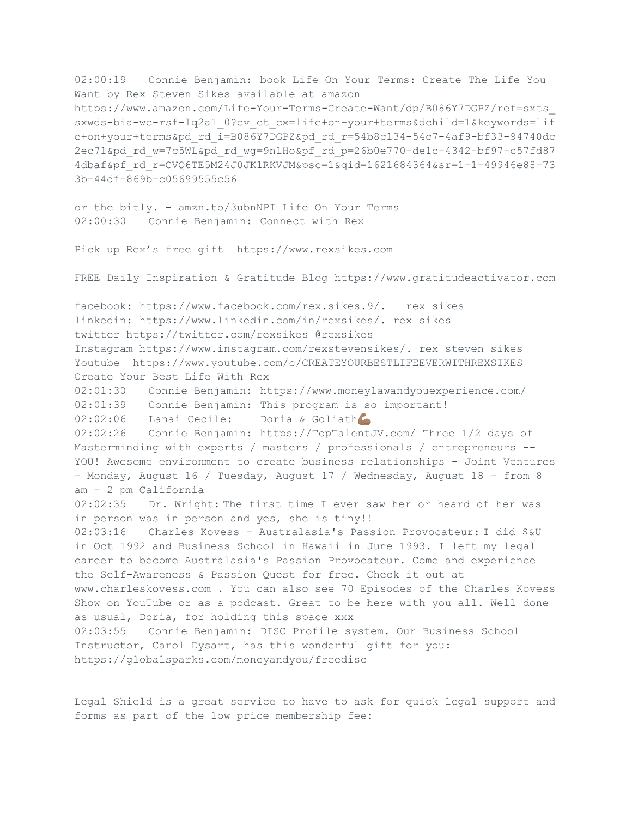02:00:19 Connie Benjamin: book Life On Your Terms: Create The Life You Want by Rex Steven Sikes available at amazon https://www.amazon.com/Life-Your-Terms-Create-Want/dp/B086Y7DGPZ/ref=sxts\_ sxwds-bia-wc-rsf-lq2a1\_0?cv\_ct\_cx=life+on+your+terms&dchild=1&keywords=lif e+on+your+terms&pd\_rd\_i=B086Y7DGPZ&pd\_rd\_r=54b8c134-54c7-4af9-bf33-94740dc 2ec71&pd\_rd\_w=7c5WL&pd\_rd\_wg=9nlHo&pf\_rd\_p=26b0e770-de1c-4342-bf97-c57fd87 4dbaf&pf\_rd\_r=CVQ6TE5M24J0JK1RKVJM&psc=1&qid=1621684364&sr=1-1-49946e88-73 3b-44df-869b-c05699555c56

or the bitly. - amzn.to/3ubnNPI Life On Your Terms 02:00:30 Connie Benjamin: Connect with Rex

Pick up Rex's free gift https://www.rexsikes.com

FREE Daily Inspiration & Gratitude Blog https://www.gratitudeactivator.com

facebook: https://www.facebook.com/rex.sikes.9/. rex sikes linkedin: https://www.linkedin.com/in/rexsikes/. rex sikes twitter https://twitter.com/rexsikes @rexsikes Instagram https://www.instagram.com/rexstevensikes/. rex steven sikes Youtube https://www.youtube.com/c/CREATEYOURBESTLIFEEVERWITHREXSIKES Create Your Best Life With Rex 02:01:30 Connie Benjamin: https://www.moneylawandyouexperience.com/ 02:01:39 Connie Benjamin: This program is so important! 02:02:06 Lanai Cecile: Doria & Goliath 02:02:26 Connie Benjamin: https://TopTalentJV.com/ Three 1/2 days of Masterminding with experts / masters / professionals / entrepreneurs -- YOU! Awesome environment to create business relationships - Joint Ventures - Monday, August 16 / Tuesday, August 17 / Wednesday, August 18 - from 8 am - 2 pm California 02:02:35 Dr. Wright: The first time I ever saw her or heard of her was in person was in person and yes, she is tiny!! 02:03:16 Charles Kovess - Australasia's Passion Provocateur: I did \$&U in Oct 1992 and Business School in Hawaii in June 1993. I left my legal career to become Australasia's Passion Provocateur. Come and experience the Self-Awareness & Passion Quest for free. Check it out at www.charleskovess.com . You can also see 70 Episodes of the Charles Kovess Show on YouTube or as a podcast. Great to be here with you all. Well done as usual, Doria, for holding this space xxx 02:03:55 Connie Benjamin: DISC Profile system. Our Business School Instructor, Carol Dysart, has this wonderful gift for you: https://globalsparks.com/moneyandyou/freedisc

Legal Shield is a great service to have to ask for quick legal support and forms as part of the low price membership fee: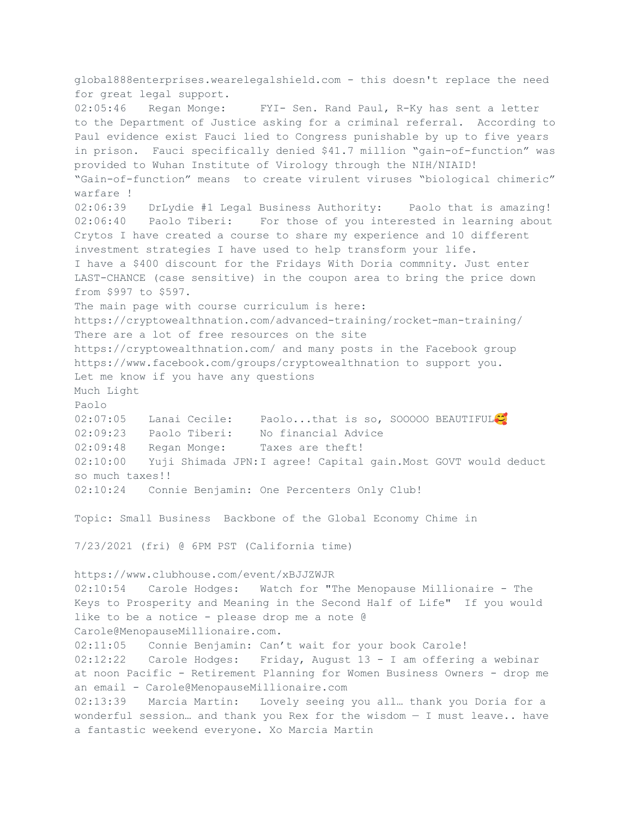global888enterprises.wearelegalshield.com - this doesn't replace the need for great legal support. 02:05:46 Regan Monge: FYI- Sen. Rand Paul, R-Ky has sent a letter to the Department of Justice asking for a criminal referral. According to Paul evidence exist Fauci lied to Congress punishable by up to five years in prison. Fauci specifically denied \$41.7 million "gain-of-function" was provided to Wuhan Institute of Virology through the NIH/NIAID! "Gain-of-function" means to create virulent viruses "biological chimeric" warfare ! 02:06:39 DrLydie #1 Legal Business Authority: Paolo that is amazing! 02:06:40 Paolo Tiberi: For those of you interested in learning about Crytos I have created a course to share my experience and 10 different investment strategies I have used to help transform your life. I have a \$400 discount for the Fridays With Doria commnity. Just enter LAST-CHANCE (case sensitive) in the coupon area to bring the price down from \$997 to \$597. The main page with course curriculum is here: https://cryptowealthnation.com/advanced-training/rocket-man-training/ There are a lot of free resources on the site https://cryptowealthnation.com/ and many posts in the Facebook group https://www.facebook.com/groups/cryptowealthnation to support you. Let me know if you have any questions Much Light Paolo 02:07:05 Lanai Cecile: Paolo...that is so, SOOOOO BEAUTIFUL<sup>1</sup> 02:09:23 Paolo Tiberi: No financial Advice 02:09:48 Regan Monge: Taxes are theft! 02:10:00 Yuji Shimada JPN:I agree! Capital gain.Most GOVT would deduct so much taxes!! 02:10:24 Connie Benjamin: One Percenters Only Club! Topic: Small Business Backbone of the Global Economy Chime in 7/23/2021 (fri) @ 6PM PST (California time) https://www.clubhouse.com/event/xBJJZWJR 02:10:54 Carole Hodges: Watch for "The Menopause Millionaire - The Keys to Prosperity and Meaning in the Second Half of Life" If you would like to be a notice - please drop me a note @ Carole@MenopauseMillionaire.com. 02:11:05 Connie Benjamin: Can't wait for your book Carole! 02:12:22 Carole Hodges: Friday, August 13 - I am offering a webinar at noon Pacific - Retirement Planning for Women Business Owners - drop me an email - Carole@MenopauseMillionaire.com 02:13:39 Marcia Martin: Lovely seeing you all… thank you Doria for a wonderful session… and thank you Rex for the wisdom — I must leave.. have a fantastic weekend everyone. Xo Marcia Martin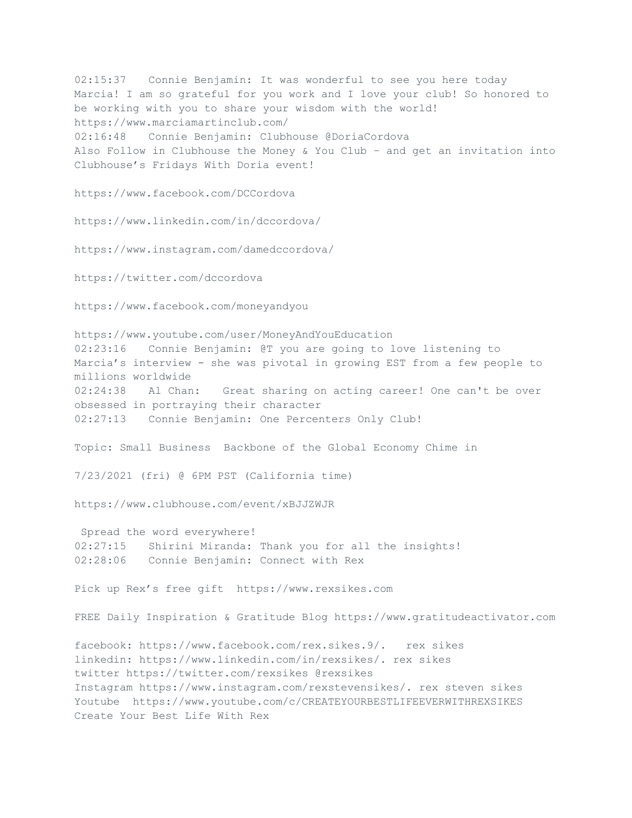02:15:37 Connie Benjamin: It was wonderful to see you here today Marcia! I am so grateful for you work and I love your club! So honored to be working with you to share your wisdom with the world! https://www.marciamartinclub.com/ 02:16:48 Connie Benjamin: Clubhouse @DoriaCordova Also Follow in Clubhouse the Money & You Club – and get an invitation into Clubhouse's Fridays With Doria event! https://www.facebook.com/DCCordova https://www.linkedin.com/in/dccordova/ https://www.instagram.com/damedccordova/ https://twitter.com/dccordova https://www.facebook.com/moneyandyou https://www.youtube.com/user/MoneyAndYouEducation 02:23:16 Connie Benjamin: @T you are going to love listening to Marcia's interview - she was pivotal in growing EST from a few people to millions worldwide 02:24:38 Al Chan: Great sharing on acting career! One can't be over obsessed in portraying their character 02:27:13 Connie Benjamin: One Percenters Only Club! Topic: Small Business Backbone of the Global Economy Chime in 7/23/2021 (fri) @ 6PM PST (California time) https://www.clubhouse.com/event/xBJJZWJR Spread the word everywhere! 02:27:15 Shirini Miranda: Thank you for all the insights! 02:28:06 Connie Benjamin: Connect with Rex Pick up Rex's free gift https://www.rexsikes.com FREE Daily Inspiration & Gratitude Blog https://www.gratitudeactivator.com facebook: https://www.facebook.com/rex.sikes.9/. rex sikes linkedin: https://www.linkedin.com/in/rexsikes/. rex sikes twitter https://twitter.com/rexsikes @rexsikes Instagram https://www.instagram.com/rexstevensikes/. rex steven sikes Youtube https://www.youtube.com/c/CREATEYOURBESTLIFEEVERWITHREXSIKES Create Your Best Life With Rex